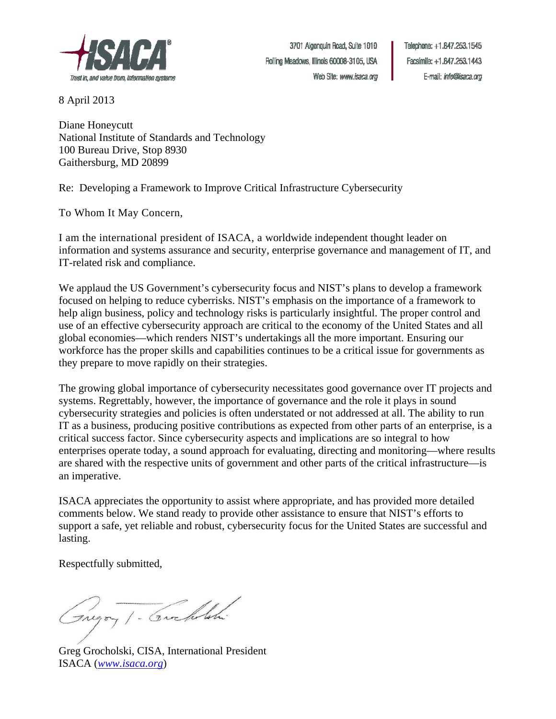

Telephone: +1.847.253.1545 Facsimile: +1.847.253.1443 E-mail: info@isaca.org

8 April 2013

Diane Honeycutt National Institute of Standards and Technology 100 Bureau Drive, Stop 8930 Gaithersburg, MD 20899

Re:Developing a Framework to Improve Critical Infrastructure Cybersecurity

To Whom It May Concern,

I am the international president of ISACA, a worldwide independent thought leader on information and systems assurance and security, enterprise governance and management of IT, and IT-related risk and compliance.

We applaud the US Government's cybersecurity focus and NIST's plans to develop a framework focused on helping to reduce cyberrisks. NIST's emphasis on the importance of a framework to help align business, policy and technology risks is particularly insightful. The proper control and use of an effective cybersecurity approach are critical to the economy of the United States and all global economies—which renders NIST's undertakings all the more important. Ensuring our workforce has the proper skills and capabilities continues to be a critical issue for governments as they prepare to move rapidly on their strategies.

The growing global importance of cybersecurity necessitates good governance over IT projects and systems. Regrettably, however, the importance of governance and the role it plays in sound cybersecurity strategies and policies is often understated or not addressed at all. The ability to run IT as a business, producing positive contributions as expected from other parts of an enterprise, is a critical success factor. Since cybersecurity aspects and implications are so integral to how enterprises operate today, a sound approach for evaluating, directing and monitoring—where results are shared with the respective units of government and other parts of the critical infrastructure—is an imperative.

ISACA appreciates the opportunity to assist where appropriate, and has provided more detailed comments below. We stand ready to provide other assistance to ensure that NIST's efforts to support a safe, yet reliable and robust, cybersecurity focus for the United States are successful and lasting.

Respectfully submitted,

Gryoy 1 - Corcholati

Greg Grocholski, CISA, International President ISACA (*[www.isaca.org](http://www.isaca.org/)*)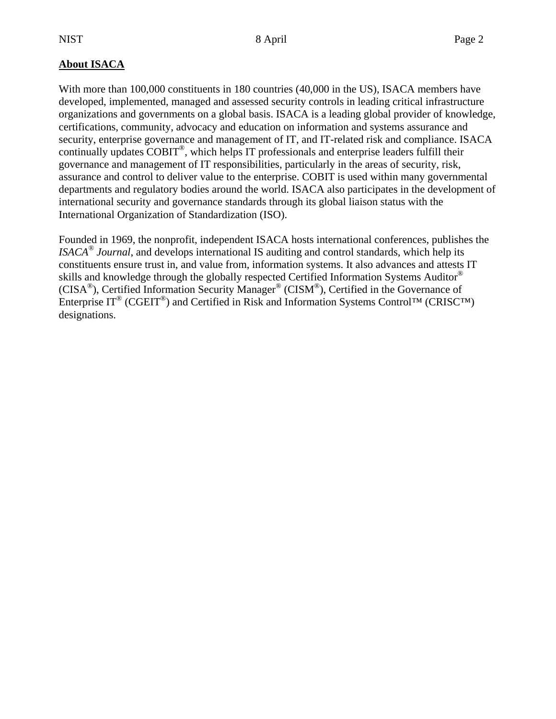## **About ISACA**

With more than 100,000 constituents in 180 countries (40,000 in the US), ISACA members have developed, implemented, managed and assessed security controls in leading critical infrastructure organizations and governments on a global basis. ISACA is a leading global provider of knowledge, certifications, community, advocacy and education on information and systems assurance and security, enterprise governance and management of IT, and IT-related risk and compliance. ISACA continually updates COBIT®, which helps IT professionals and enterprise leaders fulfill their governance and management of IT responsibilities, particularly in the areas of security, risk, assurance and control to deliver value to the enterprise. COBIT is used within many governmental departments and regulatory bodies around the world. ISACA also participates in the development of international security and governance standards through its global liaison status with the International Organization of Standardization (ISO).

Founded in 1969, the nonprofit, independent ISACA hosts international conferences, publishes the *ISACA® Journal*, and develops international IS auditing and control standards, which help its constituents ensure trust in, and value from, information systems. It also advances and attests IT skills and knowledge through the globally respected Certified Information Systems Auditor® (CISA®), Certified Information Security Manager® (CISM®), Certified in the Governance of Enterprise  $IT^®$  (CGEIT<sup>®</sup>) and Certified in Risk and Information Systems Control™ (CRISC™) designations.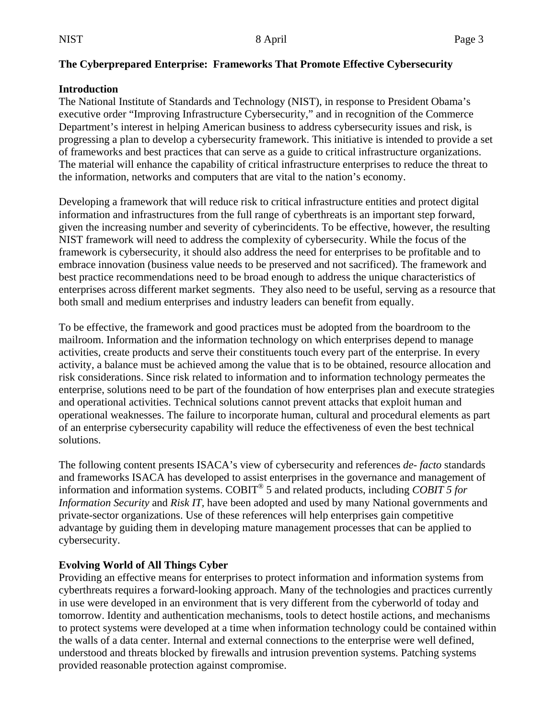#### **The Cyberprepared Enterprise: Frameworks That Promote Effective Cybersecurity**

#### **Introduction**

The National Institute of Standards and Technology (NIST), in response to President Obama's executive order "Improving Infrastructure Cybersecurity," and in recognition of the Commerce Department's interest in helping American business to address cybersecurity issues and risk, is progressing a plan to develop a cybersecurity framework. This initiative is intended to provide a set of frameworks and best practices that can serve as a guide to critical infrastructure organizations. The material will enhance the capability of critical infrastructure enterprises to reduce the threat to the information, networks and computers that are vital to the nation's economy.

Developing a framework that will reduce risk to critical infrastructure entities and protect digital information and infrastructures from the full range of cyberthreats is an important step forward, given the increasing number and severity of cyberincidents. To be effective, however, the resulting NIST framework will need to address the complexity of cybersecurity. While the focus of the framework is cybersecurity, it should also address the need for enterprises to be profitable and to embrace innovation (business value needs to be preserved and not sacrificed). The framework and best practice recommendations need to be broad enough to address the unique characteristics of enterprises across different market segments. They also need to be useful, serving as a resource that both small and medium enterprises and industry leaders can benefit from equally.

To be effective, the framework and good practices must be adopted from the boardroom to the mailroom. Information and the information technology on which enterprises depend to manage activities, create products and serve their constituents touch every part of the enterprise. In every activity, a balance must be achieved among the value that is to be obtained, resource allocation and risk considerations. Since risk related to information and to information technology permeates the enterprise, solutions need to be part of the foundation of how enterprises plan and execute strategies and operational activities. Technical solutions cannot prevent attacks that exploit human and operational weaknesses. The failure to incorporate human, cultural and procedural elements as part of an enterprise cybersecurity capability will reduce the effectiveness of even the best technical solutions.

The following content presents ISACA's view of cybersecurity and references *de- facto* standards and frameworks ISACA has developed to assist enterprises in the governance and management of information and information systems. COBIT® 5 and related products, including *COBIT 5 for Information Security* and *Risk IT,* have been adopted and used by many National governments and private-sector organizations. Use of these references will help enterprises gain competitive advantage by guiding them in developing mature management processes that can be applied to cybersecurity.

## **Evolving World of All Things Cyber**

Providing an effective means for enterprises to protect information and information systems from cyberthreats requires a forward-looking approach. Many of the technologies and practices currently in use were developed in an environment that is very different from the cyberworld of today and tomorrow. Identity and authentication mechanisms, tools to detect hostile actions, and mechanisms to protect systems were developed at a time when information technology could be contained within the walls of a data center. Internal and external connections to the enterprise were well defined, understood and threats blocked by firewalls and intrusion prevention systems. Patching systems provided reasonable protection against compromise.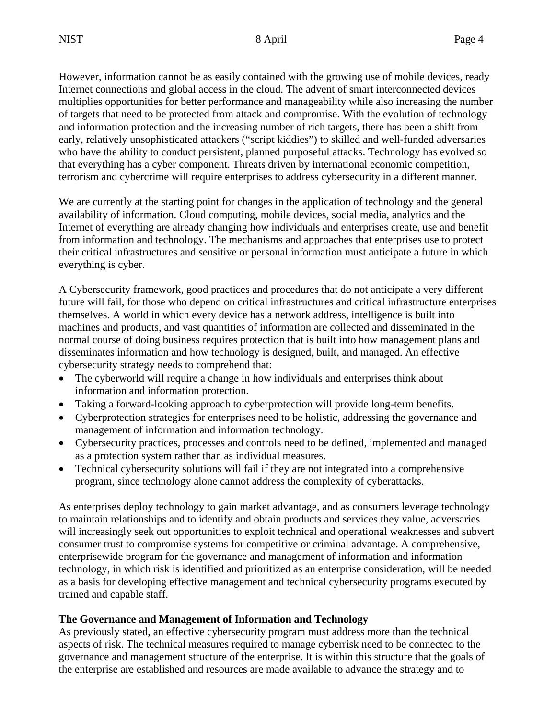However, information cannot be as easily contained with the growing use of mobile devices, ready Internet connections and global access in the cloud. The advent of smart interconnected devices multiplies opportunities for better performance and manageability while also increasing the number of targets that need to be protected from attack and compromise. With the evolution of technology and information protection and the increasing number of rich targets, there has been a shift from early, relatively unsophisticated attackers ("script kiddies") to skilled and well-funded adversaries who have the ability to conduct persistent, planned purposeful attacks. Technology has evolved so that everything has a cyber component. Threats driven by international economic competition, terrorism and cybercrime will require enterprises to address cybersecurity in a different manner.

We are currently at the starting point for changes in the application of technology and the general availability of information. Cloud computing, mobile devices, social media, analytics and the Internet of everything are already changing how individuals and enterprises create, use and benefit from information and technology. The mechanisms and approaches that enterprises use to protect their critical infrastructures and sensitive or personal information must anticipate a future in which everything is cyber.

A Cybersecurity framework, good practices and procedures that do not anticipate a very different future will fail, for those who depend on critical infrastructures and critical infrastructure enterprises themselves. A world in which every device has a network address, intelligence is built into machines and products, and vast quantities of information are collected and disseminated in the normal course of doing business requires protection that is built into how management plans and disseminates information and how technology is designed, built, and managed. An effective cybersecurity strategy needs to comprehend that:

- The cyberworld will require a change in how individuals and enterprises think about information and information protection.
- Taking a forward-looking approach to cyberprotection will provide long-term benefits.
- Cyberprotection strategies for enterprises need to be holistic, addressing the governance and management of information and information technology.
- Cybersecurity practices, processes and controls need to be defined, implemented and managed as a protection system rather than as individual measures.
- Technical cybersecurity solutions will fail if they are not integrated into a comprehensive program, since technology alone cannot address the complexity of cyberattacks.

As enterprises deploy technology to gain market advantage, and as consumers leverage technology to maintain relationships and to identify and obtain products and services they value, adversaries will increasingly seek out opportunities to exploit technical and operational weaknesses and subvert consumer trust to compromise systems for competitive or criminal advantage. A comprehensive, enterprisewide program for the governance and management of information and information technology, in which risk is identified and prioritized as an enterprise consideration, will be needed as a basis for developing effective management and technical cybersecurity programs executed by trained and capable staff.

## **The Governance and Management of Information and Technology**

As previously stated, an effective cybersecurity program must address more than the technical aspects of risk. The technical measures required to manage cyberrisk need to be connected to the governance and management structure of the enterprise. It is within this structure that the goals of the enterprise are established and resources are made available to advance the strategy and to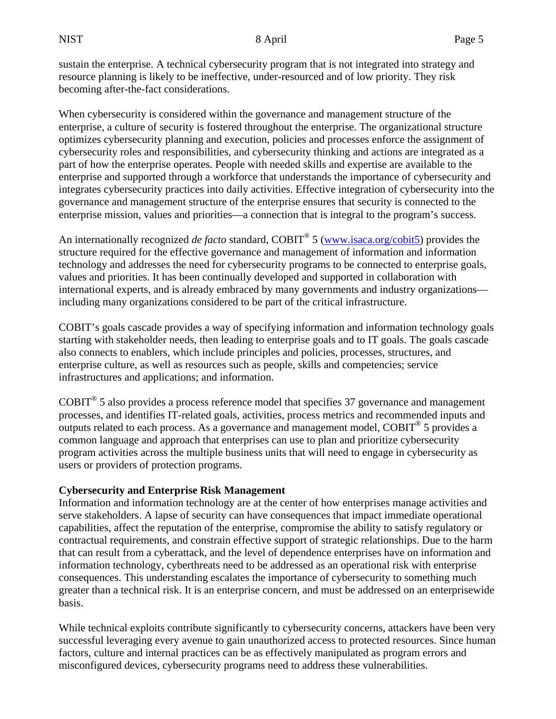sustain the enterprise. A technical cybersecurity program that is not integrated into strategy and resource planning is likely to be ineffective, under-resourced and of low priority. They risk becoming after-the-fact considerations.

When cybersecurity is considered within the governance and management structure of the enterprise, a culture of security is fostered throughout the enterprise. The organizational structure optimizes cybersecurity planning and execution, policies and processes enforce the assignment of cybersecurity roles and responsibilities, and cybersecurity thinking and actions are integrated as a part of how the enterprise operates. People with needed skills and expertise are available to the enterprise and supported through a workforce that understands the importance of cybersecurity and integrates cybersecurity practices into daily activities. Effective integration of cybersecurity into the governance and management structure of the enterprise ensures that security is connected to the enterprise mission, values and priorities—a connection that is integral to the program's success.

An internationally recognized *de facto* standard, COBIT<sup>®</sup> 5 [\(www.isaca.org/cobit5\)](http://www.isaca.org/cobit5) provides the structure required for the effective governance and management of information and information technology and addresses the need for cybersecurity programs to be connected to enterprise goals, values and priorities. It has been continually developed and supported in collaboration with international experts, and is already embraced by many governments and industry organizations including many organizations considered to be part of the critical infrastructure.

COBIT's goals cascade provides a way of specifying information and information technology goals starting with stakeholder needs, then leading to enterprise goals and to IT goals. The goals cascade also connects to enablers, which include principles and policies, processes, structures, and enterprise culture, as well as resources such as people, skills and competencies; service infrastructures and applications; and information.

COBIT® 5 also provides a process reference model that specifies 37 governance and management processes, and identifies IT-related goals, activities, process metrics and recommended inputs and outputs related to each process. As a governance and management model, COBIT<sup>®</sup> 5 provides a common language and approach that enterprises can use to plan and prioritize cybersecurity program activities across the multiple business units that will need to engage in cybersecurity as users or providers of protection programs.

# **Cybersecurity and Enterprise Risk Management**

Information and information technology are at the center of how enterprises manage activities and serve stakeholders. A lapse of security can have consequences that impact immediate operational capabilities, affect the reputation of the enterprise, compromise the ability to satisfy regulatory or contractual requirements, and constrain effective support of strategic relationships. Due to the harm that can result from a cyberattack, and the level of dependence enterprises have on information and information technology, cyberthreats need to be addressed as an operational risk with enterprise consequences. This understanding escalates the importance of cybersecurity to something much greater than a technical risk. It is an enterprise concern, and must be addressed on an enterprisewide basis.

While technical exploits contribute significantly to cybersecurity concerns, attackers have been very successful leveraging every avenue to gain unauthorized access to protected resources. Since human factors, culture and internal practices can be as effectively manipulated as program errors and misconfigured devices, cybersecurity programs need to address these vulnerabilities.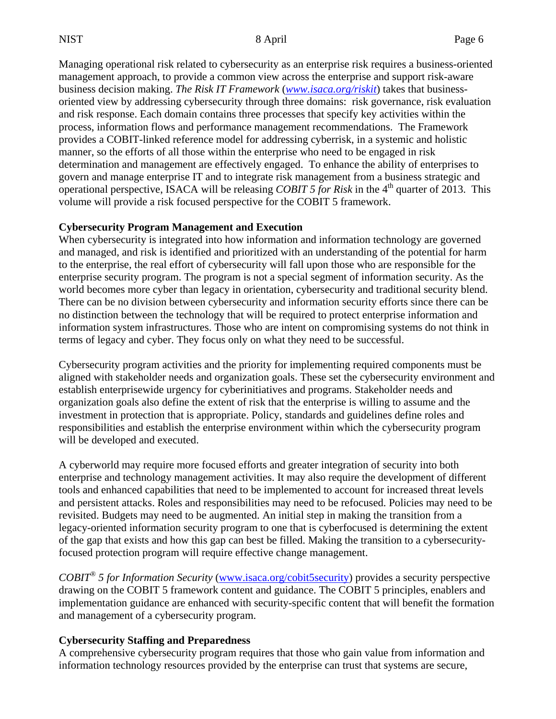Managing operational risk related to cybersecurity as an enterprise risk requires a business-oriented management approach, to provide a common view across the enterprise and support risk-aware business decision making. *The Risk IT Framework* (*[www.isaca.org/riskit](http://www.isaca.org/riskit)*) takes that businessoriented view by addressing cybersecurity through three domains: risk governance, risk evaluation and risk response. Each domain contains three processes that specify key activities within the process, information flows and performance management recommendations. The Framework provides a COBIT-linked reference model for addressing cyberrisk, in a systemic and holistic manner, so the efforts of all those within the enterprise who need to be engaged in risk determination and management are effectively engaged. To enhance the ability of enterprises to govern and manage enterprise IT and to integrate risk management from a business strategic and operational perspective, ISACA will be releasing *COBIT 5 for Risk* in the 4<sup>th</sup> quarter of 2013. This volume will provide a risk focused perspective for the COBIT 5 framework.

#### **Cybersecurity Program Management and Execution**

When cybersecurity is integrated into how information and information technology are governed and managed, and risk is identified and prioritized with an understanding of the potential for harm to the enterprise, the real effort of cybersecurity will fall upon those who are responsible for the enterprise security program. The program is not a special segment of information security. As the world becomes more cyber than legacy in orientation, cybersecurity and traditional security blend. There can be no division between cybersecurity and information security efforts since there can be no distinction between the technology that will be required to protect enterprise information and information system infrastructures. Those who are intent on compromising systems do not think in terms of legacy and cyber. They focus only on what they need to be successful.

Cybersecurity program activities and the priority for implementing required components must be aligned with stakeholder needs and organization goals. These set the cybersecurity environment and establish enterprisewide urgency for cyberinitiatives and programs. Stakeholder needs and organization goals also define the extent of risk that the enterprise is willing to assume and the investment in protection that is appropriate. Policy, standards and guidelines define roles and responsibilities and establish the enterprise environment within which the cybersecurity program will be developed and executed.

A cyberworld may require more focused efforts and greater integration of security into both enterprise and technology management activities. It may also require the development of different tools and enhanced capabilities that need to be implemented to account for increased threat levels and persistent attacks. Roles and responsibilities may need to be refocused. Policies may need to be revisited. Budgets may need to be augmented. An initial step in making the transition from a legacy-oriented information security program to one that is cyberfocused is determining the extent of the gap that exists and how this gap can best be filled. Making the transition to a cybersecurityfocused protection program will require effective change management.

*COBIT® 5 for Information Security* [\(www.isaca.org/cobit5security\)](http://www.isaca.org/cobit5security) provides a security perspective drawing on the COBIT 5 framework content and guidance. The COBIT 5 principles, enablers and implementation guidance are enhanced with security-specific content that will benefit the formation and management of a cybersecurity program.

## **Cybersecurity Staffing and Preparedness**

A comprehensive cybersecurity program requires that those who gain value from information and information technology resources provided by the enterprise can trust that systems are secure,